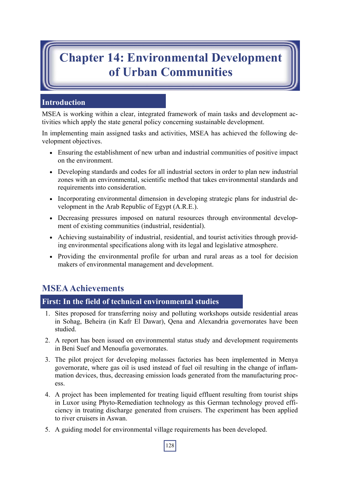# **Chapter 14: Environmental Development of Urban Communities**

### **Introduction**

MSEA is working within a clear, integrated framework of main tasks and development activities which apply the state general policy concerning sustainable development.

In implementing main assigned tasks and activities, MSEA has achieved the following development objectives.

- Ensuring the establishment of new urban and industrial communities of positive impact on the environment.
- Developing standards and codes for all industrial sectors in order to plan new industrial zones with an environmental, scientific method that takes environmental standards and requirements into consideration.
- Incorporating environmental dimension in developing strategic plans for industrial development in the Arab Republic of Egypt (A.R.E.).
- Decreasing pressures imposed on natural resources through environmental development of existing communities (industrial, residential).
- Achieving sustainability of industrial, residential, and tourist activities through providing environmental specifications along with its legal and legislative atmosphere.
- Providing the environmental profile for urban and rural areas as a tool for decision makers of environmental management and development.

## **MSEA Achievements**

### **First: In the field of technical environmental studies**

- 1. Sites proposed for transferring noisy and polluting workshops outside residential areas in Sohag, Beheira (in Kafr El Dawar), Qena and Alexandria governorates have been studied.
- 2. A report has been issued on environmental status study and development requirements in Beni Suef and Menoufia governorates.
- 3. The pilot project for developing molasses factories has been implemented in Menya governorate, where gas oil is used instead of fuel oil resulting in the change of inflammation devices, thus, decreasing emission loads generated from the manufacturing process.
- 4. A project has been implemented for treating liquid effluent resulting from tourist ships in Luxor using Phyto-Remediation technology as this German technology proved efficiency in treating discharge generated from cruisers. The experiment has been applied to river cruisers in Aswan.
- 5. A guiding model for environmental village requirements has been developed.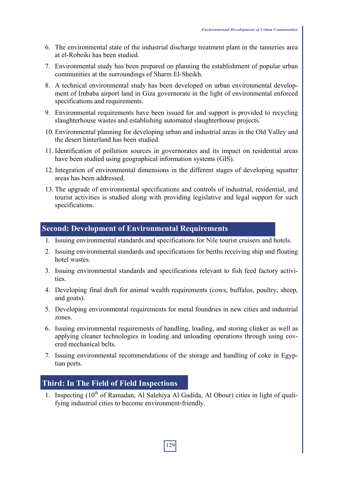- 6. The environmental state of the industrial discharge treatment plant in the tanneries area at el-Robeiki has been studied.
- 7. Environmental study has been prepared on planning the establishment of popular urban communities at the surroundings of Sharm El-Sheikh.
- 8. A technical environmental study has been developed on urban environmental development of Imbaba airport land in Giza governorate in the light of environmental enforced specifications and requirements.
- 9. Environmental requirements have been issued for and support is provided to recycling slaughterhouse wastes and establishing automated slaughterhouse projects.
- 10. Environmental planning for developing urban and industrial areas in the Old Valley and the desert hinterland has been studied.
- 11. Identification of pollution sources in governorates and its impact on residential areas have been studied using geographical information systems (GIS).
- 12. Integration of environmental dimensions in the different stages of developing squatter areas has been addressed.
- 13. The upgrade of environmental specifications and controls of industrial, residential, and tourist activities is studied along with providing legislative and legal support for such specifications.

#### **Second: Development of Environmental Requirements**

- 1. Issuing environmental standards and specifications for Nile tourist cruisers and hotels.
- 2. Issuing environmental standards and specifications for berths receiving ship and floating hotel wastes.
- 3. Issuing environmental standards and specifications relevant to fish feed factory activities.
- 4. Developing final draft for animal wealth requirements (cows, buffalos, poultry, sheep, and goats).
- 5. Developing environmental requirements for metal foundries in new cities and industrial zones.
- 6. Issuing environmental requirements of handling, loading, and storing clinker as well as applying cleaner technologies in loading and unloading operations through using covered mechanical belts.
- 7. Issuing environmental recommendations of the storage and handling of coke in Egyptian ports.

#### **Third: In The Field of Field Inspections**

1. Inspecting  $(10<sup>th</sup>$  of Ramadan, Al Salehiya Al Gadida, Al Obour) cities in light of qualifying industrial cities to become environment-friendly.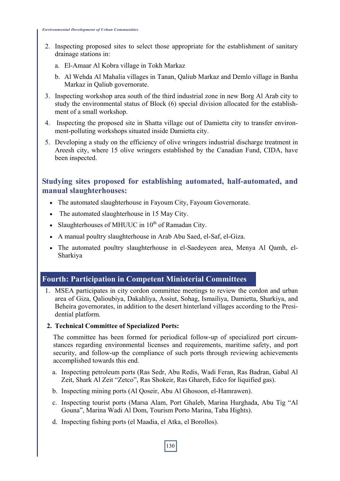- 2. Inspecting proposed sites to select those appropriate for the establishment of sanitary drainage stations in:
	- a. El-Amaar Al Kobra village in Tokh Markaz
	- b. Al Wehda Al Mahalia villages in Tanan, Qaliub Markaz and Demlo village in Banha Markaz in Qaliub governorate.
- 3. Inspecting workshop area south of the third industrial zone in new Borg Al Arab city to study the environmental status of Block (6) special division allocated for the establishment of a small workshop.
- 4. Inspecting the proposed site in Shatta village out of Damietta city to transfer environment-polluting workshops situated inside Damietta city.
- 5. Developing a study on the efficiency of olive wringers industrial discharge treatment in Areesh city, where 15 olive wringers established by the Canadian Fund, CIDA, have been inspected.

### **Studying sites proposed for establishing automated, half-automated, and manual slaughterhouses:**

- The automated slaughterhouse in Fayoum City, Fayoum Governorate.
- The automated slaughterhouse in 15 May City.
- Slaughterhouses of MHUUC in  $10<sup>th</sup>$  of Ramadan City.
- A manual poultry slaughterhouse in Arab Abu Saed, el-Saf, el-Giza.
- The automated poultry slaughterhouse in el-Saedeyeen area, Menya Al Qamh, el-Sharkiya

#### **Fourth: Participation in Competent Ministerial Committees**

1. MSEA participates in city cordon committee meetings to review the cordon and urban area of Giza, Qalioubiya, Dakahliya, Assiut, Sohag, Ismailiya, Damietta, Sharkiya, and Beheira governorates, in addition to the desert hinterland villages according to the Presidential platform.

#### **2. Technical Committee of Specialized Ports:**

The committee has been formed for periodical follow-up of specialized port circumstances regarding environmental licenses and requirements, maritime safety, and port security, and follow-up the compliance of such ports through reviewing achievements accomplished towards this end.

- a. Inspecting petroleum ports (Ras Sedr, Abu Redis, Wadi Feran, Ras Badran, Gabal Al Zeit, Shark Al Zeit "Zetco", Ras Shokeir, Ras Ghareb, Edco for liquified gas).
- b. Inspecting mining ports (Al Qoseir, Abu Al Ghosoon, el-Hamrawen).
- c. Inspecting tourist ports (Marsa Alam, Port Ghaleb, Marina Hurghada, Abu Tig "Al Gouna", Marina Wadi Al Dom, Tourism Porto Marina, Taba Hights).
- d. Inspecting fishing ports (el Maadia, el Atka, el Borollos).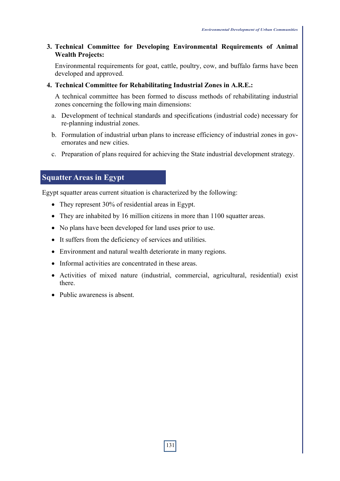#### **3. Technical Committee for Developing Environmental Requirements of Animal Wealth Projects:**

Environmental requirements for goat, cattle, poultry, cow, and buffalo farms have been developed and approved.

#### **4. Technical Committee for Rehabilitating Industrial Zones in A.R.E.:**

A technical committee has been formed to discuss methods of rehabilitating industrial zones concerning the following main dimensions:

- a. Development of technical standards and specifications (industrial code) necessary for re-planning industrial zones.
- b. Formulation of industrial urban plans to increase efficiency of industrial zones in governorates and new cities.
- c. Preparation of plans required for achieving the State industrial development strategy.

### **Squatter Areas in Egypt**

Egypt squatter areas current situation is characterized by the following:

- They represent 30% of residential areas in Egypt.
- They are inhabited by 16 million citizens in more than 1100 squatter areas.
- No plans have been developed for land uses prior to use.
- It suffers from the deficiency of services and utilities.
- Environment and natural wealth deteriorate in many regions.
- Informal activities are concentrated in these areas.
- Activities of mixed nature (industrial, commercial, agricultural, residential) exist there.
- Public awareness is absent.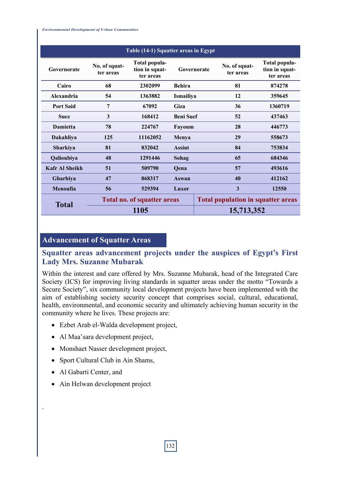*Environmental Development of Urban Communities*

| Table (14-1) Squatter areas in Egypt |                                    |                                              |                  |                                           |                            |                                              |
|--------------------------------------|------------------------------------|----------------------------------------------|------------------|-------------------------------------------|----------------------------|----------------------------------------------|
| Governorate                          | No. of squat-<br>ter areas         | Total popula-<br>tion in squat-<br>ter areas | Governorate      |                                           | No. of squat-<br>ter areas | Total popula-<br>tion in squat-<br>ter areas |
| Cairo                                | 68                                 | 2302099                                      | <b>Behira</b>    |                                           | 81                         | 874278                                       |
| Alexandria                           | 54                                 | 1363882                                      | Ismailiya        |                                           | 12                         | 359645                                       |
| <b>Port Said</b>                     | 7                                  | 67092                                        | Giza             |                                           | 36                         | 1360719                                      |
| <b>Suez</b>                          | 3                                  | 168412                                       | <b>Beni Suef</b> |                                           | 52                         | 437463                                       |
| Damietta                             | 78                                 | 224767                                       | Fayoum           |                                           | 28                         | 446773                                       |
| Dakahliya                            | 125                                | 11162052                                     | Menya            |                                           | 29                         | 558673                                       |
| Sharkiya                             | 81                                 | 832042                                       | <b>Assiut</b>    |                                           | 84                         | 753834                                       |
| Qalioubiya                           | 48                                 | 1291446                                      | Sohag            |                                           | 65                         | 684346                                       |
| <b>Kafr Al Sheikh</b>                | 51                                 | 509790                                       | Qena             |                                           | 57                         | 493616                                       |
| Gharbiya                             | 47                                 | 868317                                       | Aswan            |                                           | 40                         | 412162                                       |
| Menoufia                             | 56                                 | 529394                                       | Luxor            |                                           | $\overline{\mathbf{3}}$    | 12550                                        |
| <b>Total</b>                         | <b>Total no. of squatter areas</b> |                                              |                  | <b>Total population in squatter areas</b> |                            |                                              |
|                                      | 1105                               |                                              |                  | 15,713,352                                |                            |                                              |

### **Advancement of Squatter Areas**

### **Squatter areas advancement projects under the auspices of Egypt's First Lady Mrs. Suzanne Mubarak**

Within the interest and care offered by Mrs. Suzanne Mubarak, head of the Integrated Care Society (ICS) for improving living standards in squatter areas under the motto "Towards a Secure Society", six community local development projects have been implemented with the aim of establishing society security concept that comprises social, cultural, educational, health, environmental, and economic security and ultimately achieving human security in the community where he lives. These projects are:

- Ezbet Arab el-Walda development project,
- Al Maa'sara development project,
- Monshaet Nasser development project,
- Sport Cultural Club in Ain Shams,
- Al Gabarti Center, and

.

• Ain Helwan development project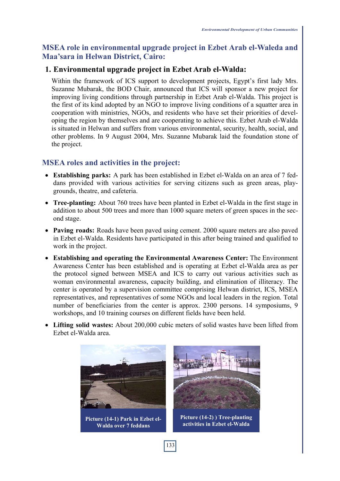### **MSEA role in environmental upgrade project in Ezbet Arab el-Waleda and Maa'sara in Helwan District, Cairo:**

### **1. Environmental upgrade project in Ezbet Arab el-Walda:**

Within the framework of ICS support to development projects, Egypt's first lady Mrs. Suzanne Mubarak, the BOD Chair, announced that ICS will sponsor a new project for improving living conditions through partnership in Ezbet Arab el-Walda. This project is the first of its kind adopted by an NGO to improve living conditions of a squatter area in cooperation with ministries, NGOs, and residents who have set their priorities of developing the region by themselves and are cooperating to achieve this. Ezbet Arab el-Walda is situated in Helwan and suffers from various environmental, security, health, social, and other problems. In 9 August 2004, Mrs. Suzanne Mubarak laid the foundation stone of the project.

### **MSEA roles and activities in the project:**

- **Establishing parks:** A park has been established in Ezbet el-Walda on an area of 7 feddans provided with various activities for serving citizens such as green areas, playgrounds, theatre, and cafeteria.
- **Tree-planting:** About 760 trees have been planted in Ezbet el-Walda in the first stage in addition to about 500 trees and more than 1000 square meters of green spaces in the second stage.
- **Paving roads:** Roads have been paved using cement. 2000 square meters are also paved in Ezbet el-Walda. Residents have participated in this after being trained and qualified to work in the project.
- **Establishing and operating the Environmental Awareness Center:** The Environment Awareness Center has been established and is operating at Ezbet el-Walda area as per the protocol signed between MSEA and ICS to carry out various activities such as woman environmental awareness, capacity building, and elimination of illiteracy. The center is operated by a supervision committee comprising Helwan district, ICS, MSEA representatives, and representatives of some NGOs and local leaders in the region. Total number of beneficiaries from the center is approx. 2300 persons. 14 symposiums, 9 workshops, and 10 training courses on different fields have been held.
- **Lifting solid wastes:** About 200,000 cubic meters of solid wastes have been lifted from Ezbet el-Walda area.

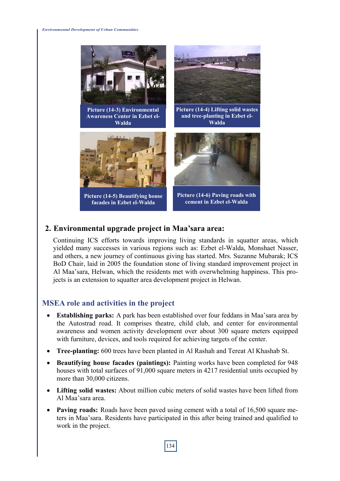

### **2. Environmental upgrade project in Maa'sara area:**

Continuing ICS efforts towards improving living standards in squatter areas, which yielded many successes in various regions such as: Ezbet el-Walda, Monshaet Nasser, and others, a new journey of continuous giving has started. Mrs. Suzanne Mubarak; ICS BoD Chair, laid in 2005 the foundation stone of living standard improvement project in Al Maa'sara, Helwan, which the residents met with overwhelming happiness. This projects is an extension to squatter area development project in Helwan.

### **MSEA role and activities in the project**

- **Establishing parks:** A park has been established over four feddans in Maa'sara area by the Autostrad road. It comprises theatre, child club, and center for environmental awareness and women activity development over about 300 square meters equipped with furniture, devices, and tools required for achieving targets of the center.
- **Tree-planting:** 600 trees have been planted in Al Rashah and Tereat Al Khashab St.
- **Beautifying house facades (paintings):** Painting works have been completed for 948 houses with total surfaces of 91,000 square meters in 4217 residential units occupied by more than 30,000 citizens.
- **Lifting solid wastes:** About million cubic meters of solid wastes have been lifted from Al Maa'sara area.
- **Paving roads:** Roads have been paved using cement with a total of 16,500 square meters in Maa'sara. Residents have participated in this after being trained and qualified to work in the project.